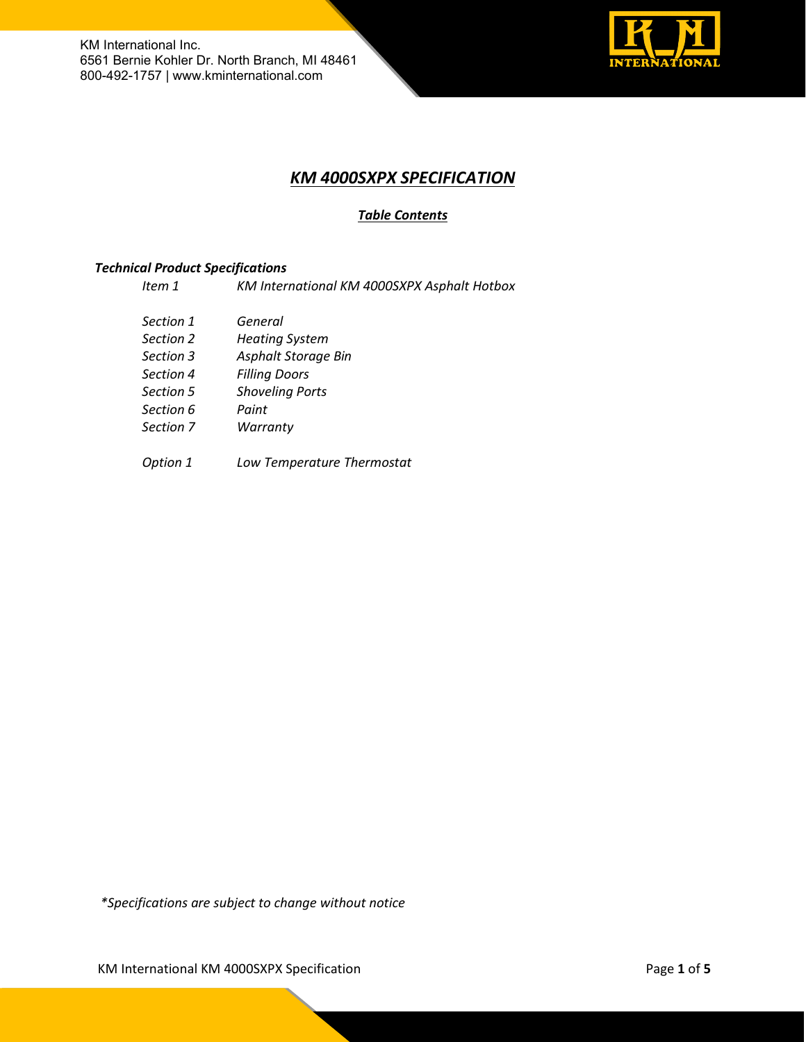

# *KM 4000SXPX SPECIFICATION*

# *Table Contents*

## *Technical Product Specifications*

*Item 1 KM International KM 4000SXPX Asphalt Hotbox*

- *Section 1 General*
- *Section 2 Heating System*
- *Section 3 Asphalt Storage Bin*
- *Section 4 Filling Doors*
- *Section 5 Shoveling Ports*
- *Section 6 Paint*
- *Section 7 Warranty*
- *Option 1 Low Temperature Thermostat*

*\*Specifications are subject to change without notice*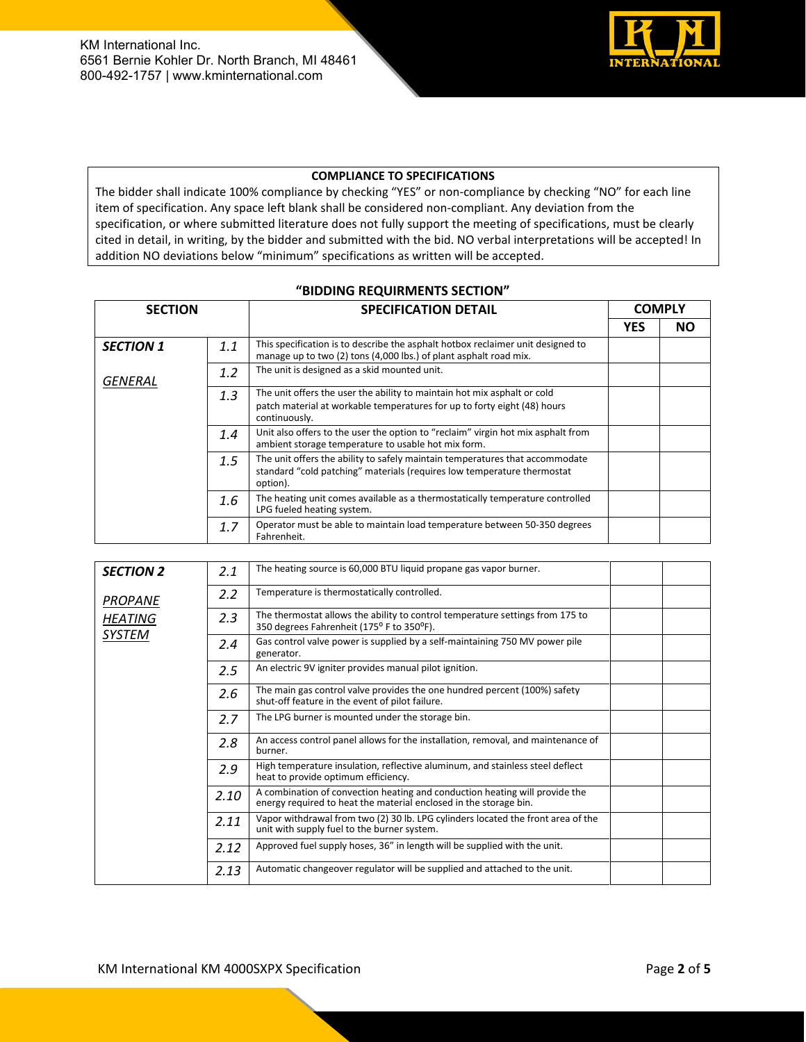

### **COMPLIANCE TO SPECIFICATIONS**

The bidder shall indicate 100% compliance by checking "YES" or non-compliance by checking "NO" for each line item of specification. Any space left blank shall be considered non-compliant. Any deviation from the specification, or where submitted literature does not fully support the meeting of specifications, must be clearly cited in detail, in writing, by the bidder and submitted with the bid. NO verbal interpretations will be accepted! In addition NO deviations below "minimum" specifications as written will be accepted.

#### **"BIDDING REQUIRMENTS SECTION"**

| <b>SECTION</b>   |     | <b>COMPLY</b><br><b>SPECIFICATION DETAIL</b>                                                                                                                          |            |           |
|------------------|-----|-----------------------------------------------------------------------------------------------------------------------------------------------------------------------|------------|-----------|
|                  |     |                                                                                                                                                                       | <b>YES</b> | <b>NO</b> |
| <b>SECTION 1</b> | 1.1 | This specification is to describe the asphalt hotbox reclaimer unit designed to<br>manage up to two (2) tons (4,000 lbs.) of plant asphalt road mix.                  |            |           |
| GENERAL          | 1.2 | The unit is designed as a skid mounted unit.                                                                                                                          |            |           |
|                  | 1.3 | The unit offers the user the ability to maintain hot mix asphalt or cold<br>patch material at workable temperatures for up to forty eight (48) hours<br>continuously. |            |           |
|                  | 1.4 | Unit also offers to the user the option to "reclaim" virgin hot mix asphalt from<br>ambient storage temperature to usable hot mix form.                               |            |           |
|                  | 1.5 | The unit offers the ability to safely maintain temperatures that accommodate<br>standard "cold patching" materials (requires low temperature thermostat<br>option).   |            |           |
|                  | 1.6 | The heating unit comes available as a thermostatically temperature controlled<br>LPG fueled heating system.                                                           |            |           |
|                  | 1.7 | Operator must be able to maintain load temperature between 50-350 degrees<br>Fahrenheit.                                                                              |            |           |

| <b>SECTION 2</b> | 2.1           | The heating source is 60,000 BTU liquid propane gas vapor burner.                                                                                |  |
|------------------|---------------|--------------------------------------------------------------------------------------------------------------------------------------------------|--|
| <b>PROPANE</b>   | $2.2\,$       | Temperature is thermostatically controlled.                                                                                                      |  |
| <b>HEATING</b>   | 2.3           | The thermostat allows the ability to control temperature settings from 175 to<br>350 degrees Fahrenheit (175° F to 350°F).                       |  |
| SYSTEM           | $2.4^{\circ}$ | Gas control valve power is supplied by a self-maintaining 750 MV power pile<br>generator.                                                        |  |
|                  | 2.5           | An electric 9V igniter provides manual pilot ignition.                                                                                           |  |
|                  | 2.6           | The main gas control valve provides the one hundred percent (100%) safety<br>shut-off feature in the event of pilot failure.                     |  |
|                  | 2.7           | The LPG burner is mounted under the storage bin.                                                                                                 |  |
|                  | 2.8           | An access control panel allows for the installation, removal, and maintenance of<br>burner.                                                      |  |
|                  | 2.9           | High temperature insulation, reflective aluminum, and stainless steel deflect<br>heat to provide optimum efficiency.                             |  |
|                  | 2.10          | A combination of convection heating and conduction heating will provide the<br>energy required to heat the material enclosed in the storage bin. |  |
|                  | 2.11          | Vapor withdrawal from two (2) 30 lb. LPG cylinders located the front area of the<br>unit with supply fuel to the burner system.                  |  |
|                  | 2.12          | Approved fuel supply hoses, 36" in length will be supplied with the unit.                                                                        |  |
|                  | 2.13          | Automatic changeover regulator will be supplied and attached to the unit.                                                                        |  |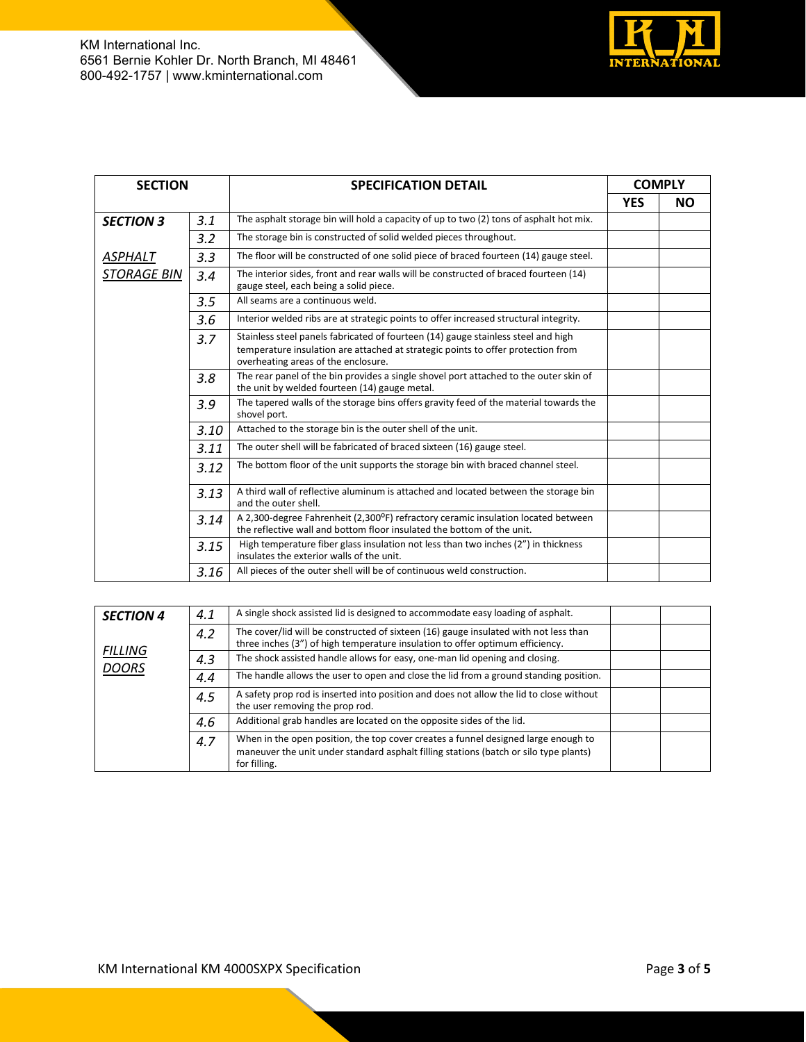

| <b>SECTION</b>            |      | <b>SPECIFICATION DETAIL</b>                                                                                                                                                                                  | <b>COMPLY</b> |    |
|---------------------------|------|--------------------------------------------------------------------------------------------------------------------------------------------------------------------------------------------------------------|---------------|----|
|                           |      |                                                                                                                                                                                                              | <b>YES</b>    | NΟ |
| <b>SECTION 3</b>          | 3.1  | The asphalt storage bin will hold a capacity of up to two (2) tons of asphalt hot mix.                                                                                                                       |               |    |
|                           | 3.2  | The storage bin is constructed of solid welded pieces throughout.                                                                                                                                            |               |    |
| ASPHALT                   | 3.3  | The floor will be constructed of one solid piece of braced fourteen (14) gauge steel.                                                                                                                        |               |    |
| <i><b>STORAGE BIN</b></i> | 3.4  | The interior sides, front and rear walls will be constructed of braced fourteen (14)<br>gauge steel, each being a solid piece.                                                                               |               |    |
|                           | 3.5  | All seams are a continuous weld.                                                                                                                                                                             |               |    |
|                           | 3.6  | Interior welded ribs are at strategic points to offer increased structural integrity.                                                                                                                        |               |    |
|                           | 3.7  | Stainless steel panels fabricated of fourteen (14) gauge stainless steel and high<br>temperature insulation are attached at strategic points to offer protection from<br>overheating areas of the enclosure. |               |    |
|                           | 3.8  | The rear panel of the bin provides a single shovel port attached to the outer skin of<br>the unit by welded fourteen (14) gauge metal.                                                                       |               |    |
|                           | 3.9  | The tapered walls of the storage bins offers gravity feed of the material towards the<br>shovel port.                                                                                                        |               |    |
|                           | 3.10 | Attached to the storage bin is the outer shell of the unit.                                                                                                                                                  |               |    |
|                           | 3.11 | The outer shell will be fabricated of braced sixteen (16) gauge steel.                                                                                                                                       |               |    |
|                           | 3.12 | The bottom floor of the unit supports the storage bin with braced channel steel.                                                                                                                             |               |    |
|                           | 3.13 | A third wall of reflective aluminum is attached and located between the storage bin<br>and the outer shell.                                                                                                  |               |    |
|                           | 3.14 | A 2,300-degree Fahrenheit (2,300°F) refractory ceramic insulation located between<br>the reflective wall and bottom floor insulated the bottom of the unit.                                                  |               |    |
|                           | 3.15 | High temperature fiber glass insulation not less than two inches (2") in thickness<br>insulates the exterior walls of the unit.                                                                              |               |    |
|                           | 3.16 | All pieces of the outer shell will be of continuous weld construction.                                                                                                                                       |               |    |

| <b>SECTION 4</b>               | 4.1 | A single shock assisted lid is designed to accommodate easy loading of asphalt.                                                                                                             |  |
|--------------------------------|-----|---------------------------------------------------------------------------------------------------------------------------------------------------------------------------------------------|--|
|                                | 4.2 | The cover/lid will be constructed of sixteen (16) gauge insulated with not less than<br>three inches (3") of high temperature insulation to offer optimum efficiency.                       |  |
| <b>FILLING</b><br><b>DOORS</b> | 4.3 | The shock assisted handle allows for easy, one-man lid opening and closing.                                                                                                                 |  |
|                                | 4.4 | The handle allows the user to open and close the lid from a ground standing position.                                                                                                       |  |
|                                | 4.5 | A safety prop rod is inserted into position and does not allow the lid to close without<br>the user removing the prop rod.                                                                  |  |
|                                | 4.6 | Additional grab handles are located on the opposite sides of the lid.                                                                                                                       |  |
|                                | 4.7 | When in the open position, the top cover creates a funnel designed large enough to<br>maneuver the unit under standard asphalt filling stations (batch or silo type plants)<br>for filling. |  |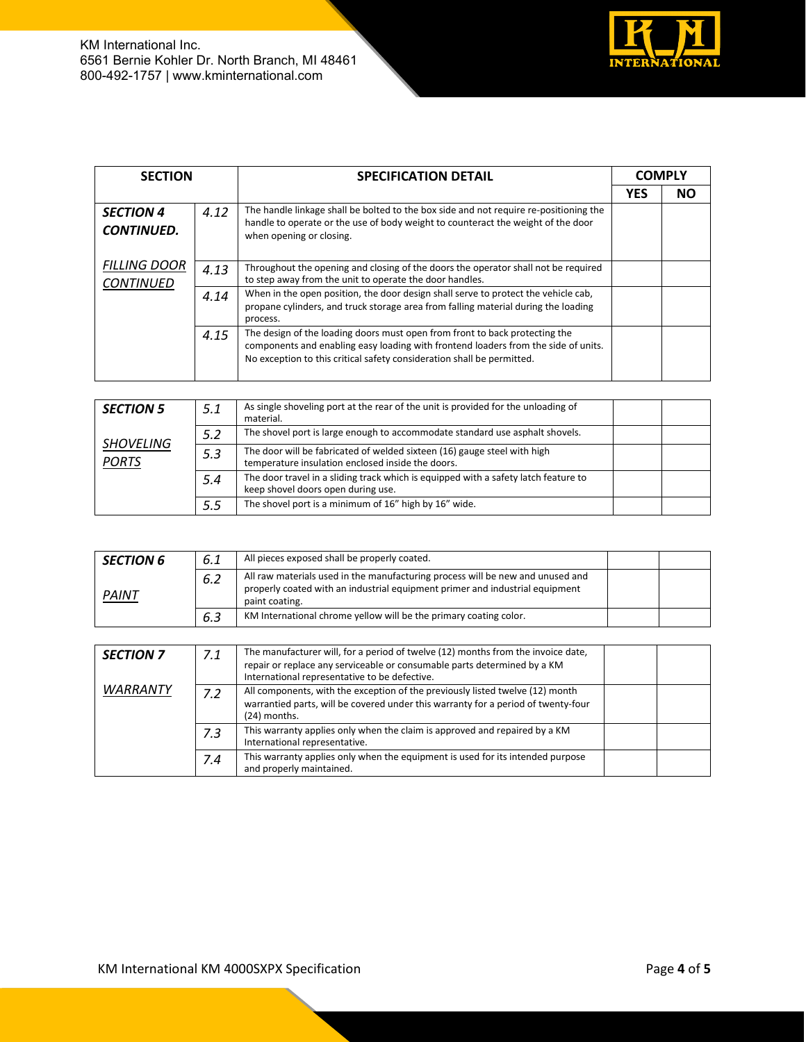

| <b>SECTION</b>                          |      | <b>SPECIFICATION DETAIL</b>                                                                                                                                                                                                                 | <b>COMPLY</b> |           |
|-----------------------------------------|------|---------------------------------------------------------------------------------------------------------------------------------------------------------------------------------------------------------------------------------------------|---------------|-----------|
|                                         |      |                                                                                                                                                                                                                                             | <b>YES</b>    | <b>NO</b> |
| <b>SECTION 4</b><br><b>CONTINUED.</b>   | 4.12 | The handle linkage shall be bolted to the box side and not require re-positioning the<br>handle to operate or the use of body weight to counteract the weight of the door<br>when opening or closing.                                       |               |           |
| <b>FILLING DOOR</b><br><b>CONTINUED</b> | 4.13 | Throughout the opening and closing of the doors the operator shall not be required<br>to step away from the unit to operate the door handles.                                                                                               |               |           |
|                                         | 4.14 | When in the open position, the door design shall serve to protect the vehicle cab,<br>propane cylinders, and truck storage area from falling material during the loading<br>process.                                                        |               |           |
|                                         | 4.15 | The design of the loading doors must open from front to back protecting the<br>components and enabling easy loading with frontend loaders from the side of units.<br>No exception to this critical safety consideration shall be permitted. |               |           |

| <b>SECTION 5</b>                 | 5.1 | As single shoveling port at the rear of the unit is provided for the unloading of<br>material.                                |  |
|----------------------------------|-----|-------------------------------------------------------------------------------------------------------------------------------|--|
|                                  | 5.2 | The shovel port is large enough to accommodate standard use asphalt shovels.                                                  |  |
| <b>SHOVELING</b><br><b>PORTS</b> | 5.3 | The door will be fabricated of welded sixteen (16) gauge steel with high<br>temperature insulation enclosed inside the doors. |  |
|                                  | 5.4 | The door travel in a sliding track which is equipped with a safety latch feature to<br>keep shovel doors open during use.     |  |
|                                  | 5.5 | The shovel port is a minimum of 16" high by 16" wide.                                                                         |  |

| <b>SECTION 6</b> | 6.1 | All pieces exposed shall be properly coated.                                                                                                                                     |  |
|------------------|-----|----------------------------------------------------------------------------------------------------------------------------------------------------------------------------------|--|
| PAINT            | 6.2 | All raw materials used in the manufacturing process will be new and unused and<br>properly coated with an industrial equipment primer and industrial equipment<br>paint coating. |  |
|                  | 6.3 | KM International chrome yellow will be the primary coating color.                                                                                                                |  |

| <b>SECTION 7</b> | 7.1 | The manufacturer will, for a period of twelve (12) months from the invoice date,<br>repair or replace any serviceable or consumable parts determined by a KM<br>International representative to be defective. |  |
|------------------|-----|---------------------------------------------------------------------------------------------------------------------------------------------------------------------------------------------------------------|--|
| <b>WARRANTY</b>  | 7.2 | All components, with the exception of the previously listed twelve (12) month<br>warrantied parts, will be covered under this warranty for a period of twenty-four<br>(24) months.                            |  |
|                  | 7.3 | This warranty applies only when the claim is approved and repaired by a KM<br>International representative.                                                                                                   |  |
|                  | 7.4 | This warranty applies only when the equipment is used for its intended purpose<br>and properly maintained.                                                                                                    |  |